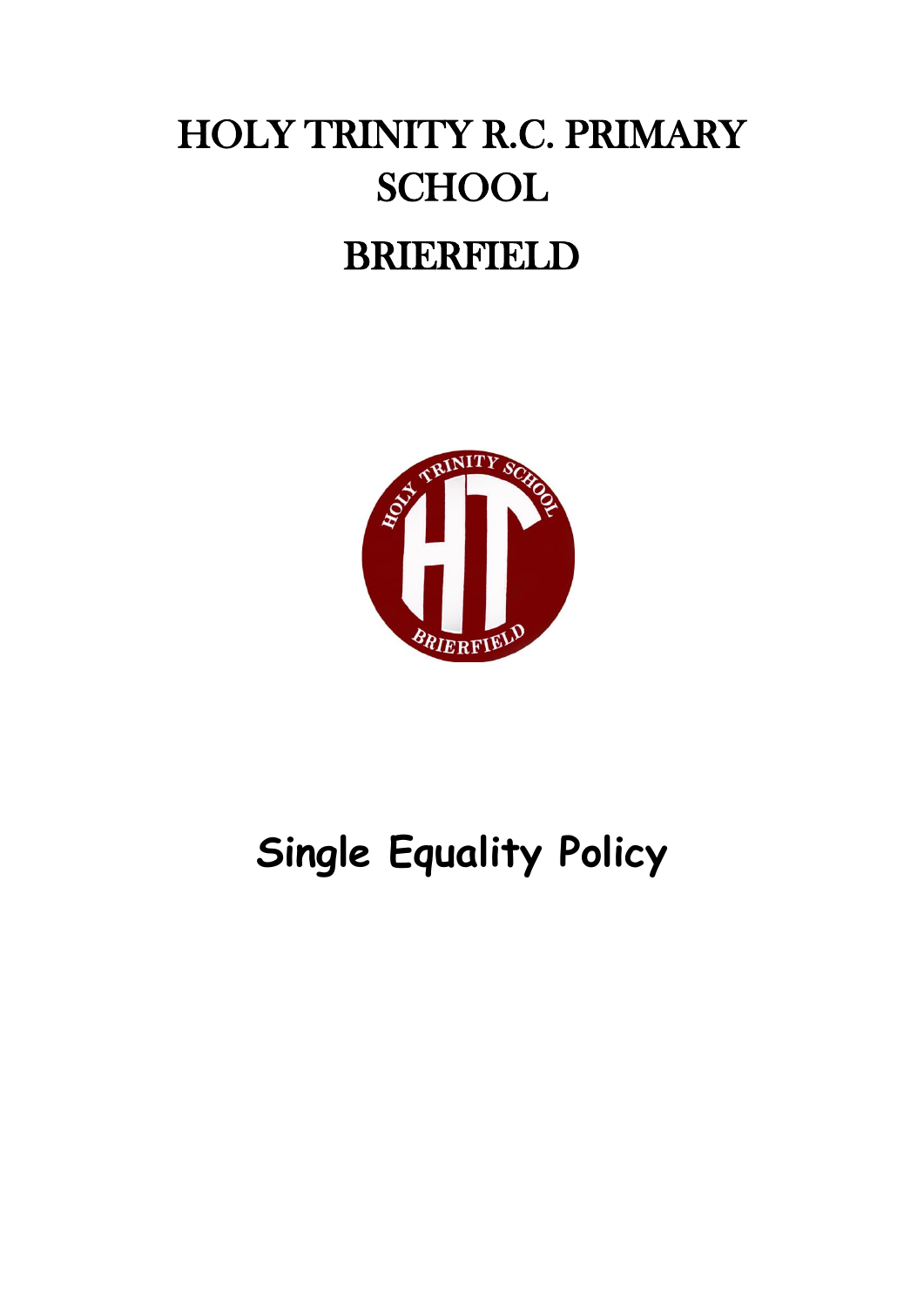# HOLY TRINITY R.C. PRIMARY **SCHOOL** BRIERFIELD



# **Single Equality Policy**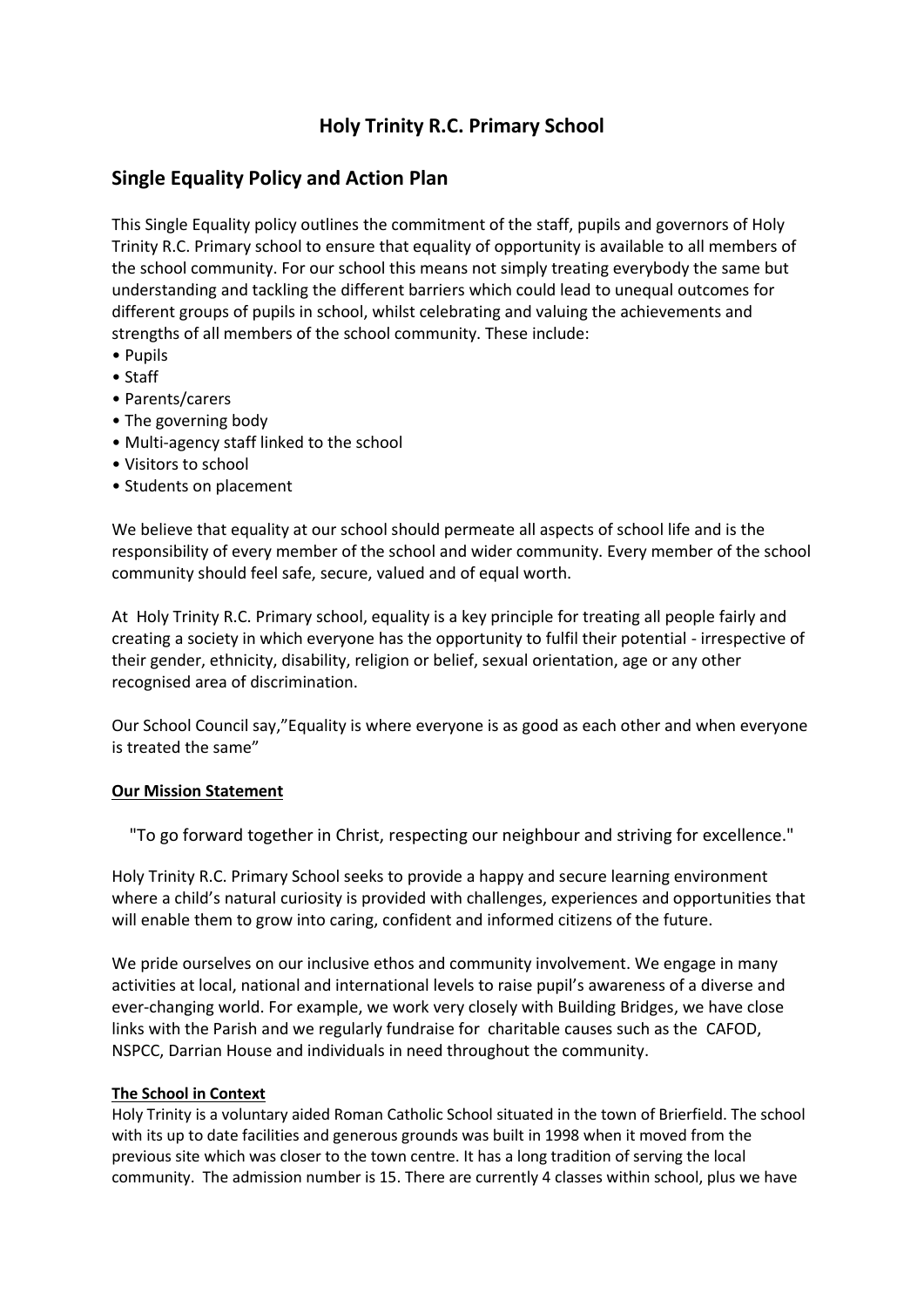# **Holy Trinity R.C. Primary School**

# **Single Equality Policy and Action Plan**

This Single Equality policy outlines the commitment of the staff, pupils and governors of Holy Trinity R.C. Primary school to ensure that equality of opportunity is available to all members of the school community. For our school this means not simply treating everybody the same but understanding and tackling the different barriers which could lead to unequal outcomes for different groups of pupils in school, whilst celebrating and valuing the achievements and strengths of all members of the school community. These include:

- Pupils
- Staff
- Parents/carers
- The governing body
- Multi-agency staff linked to the school
- Visitors to school
- Students on placement

We believe that equality at our school should permeate all aspects of school life and is the responsibility of every member of the school and wider community. Every member of the school community should feel safe, secure, valued and of equal worth.

At Holy Trinity R.C. Primary school, equality is a key principle for treating all people fairly and creating a society in which everyone has the opportunity to fulfil their potential - irrespective of their gender, ethnicity, disability, religion or belief, sexual orientation, age or any other recognised area of discrimination.

Our School Council say,"Equality is where everyone is as good as each other and when everyone is treated the same"

#### **Our Mission Statement**

"To go forward together in Christ, respecting our neighbour and striving for excellence."

Holy Trinity R.C. Primary School seeks to provide a happy and secure learning environment where a child's natural curiosity is provided with challenges, experiences and opportunities that will enable them to grow into caring, confident and informed citizens of the future.

We pride ourselves on our inclusive ethos and community involvement. We engage in many activities at local, national and international levels to raise pupil's awareness of a diverse and ever-changing world. For example, we work very closely with Building Bridges, we have close links with the Parish and we regularly fundraise for charitable causes such as the CAFOD, NSPCC, Darrian House and individuals in need throughout the community.

#### **The School in Context**

Holy Trinity is a voluntary aided Roman Catholic School situated in the town of Brierfield. The school with its up to date facilities and generous grounds was built in 1998 when it moved from the previous site which was closer to the town centre. It has a long tradition of serving the local community. The admission number is 15. There are currently 4 classes within school, plus we have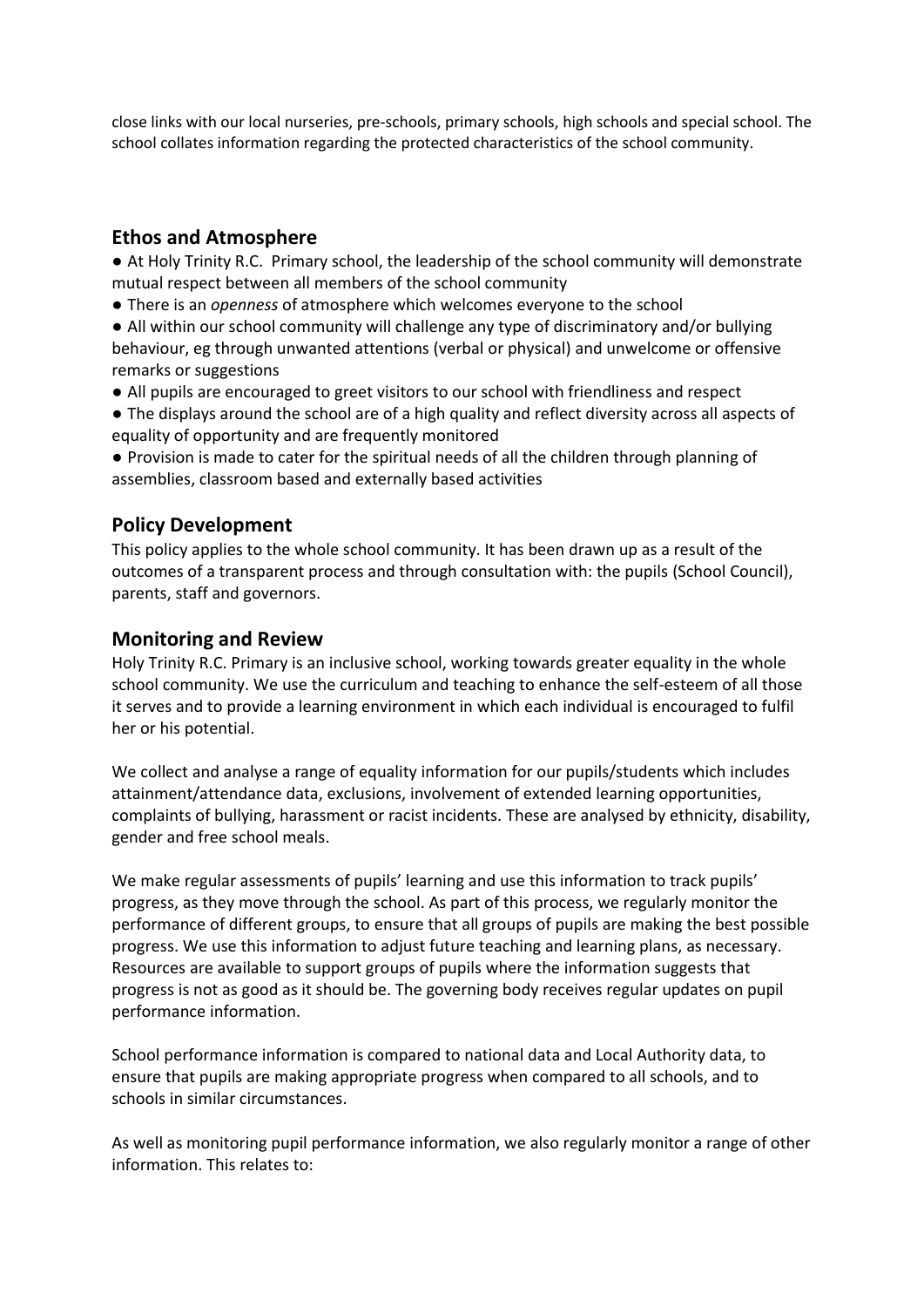close links with our local nurseries, pre-schools, primary schools, high schools and special school. The school collates information regarding the protected characteristics of the school community.

# **Ethos and Atmosphere**

● At Holy Trinity R.C. Primary school, the leadership of the school community will demonstrate mutual respect between all members of the school community

● There is an *openness* of atmosphere which welcomes everyone to the school

● All within our school community will challenge any type of discriminatory and/or bullying behaviour, eg through unwanted attentions (verbal or physical) and unwelcome or offensive remarks or suggestions

- All pupils are encouraged to greet visitors to our school with friendliness and respect
- The displays around the school are of a high quality and reflect diversity across all aspects of equality of opportunity and are frequently monitored

● Provision is made to cater for the spiritual needs of all the children through planning of assemblies, classroom based and externally based activities

# **Policy Development**

This policy applies to the whole school community. It has been drawn up as a result of the outcomes of a transparent process and through consultation with: the pupils (School Council), parents, staff and governors.

## **Monitoring and Review**

Holy Trinity R.C. Primary is an inclusive school, working towards greater equality in the whole school community. We use the curriculum and teaching to enhance the self-esteem of all those it serves and to provide a learning environment in which each individual is encouraged to fulfil her or his potential.

We collect and analyse a range of equality information for our pupils/students which includes attainment/attendance data, exclusions, involvement of extended learning opportunities, complaints of bullying, harassment or racist incidents. These are analysed by ethnicity, disability, gender and free school meals.

We make regular assessments of pupils' learning and use this information to track pupils' progress, as they move through the school. As part of this process, we regularly monitor the performance of different groups, to ensure that all groups of pupils are making the best possible progress. We use this information to adjust future teaching and learning plans, as necessary. Resources are available to support groups of pupils where the information suggests that progress is not as good as it should be. The governing body receives regular updates on pupil performance information.

School performance information is compared to national data and Local Authority data, to ensure that pupils are making appropriate progress when compared to all schools, and to schools in similar circumstances.

As well as monitoring pupil performance information, we also regularly monitor a range of other information. This relates to: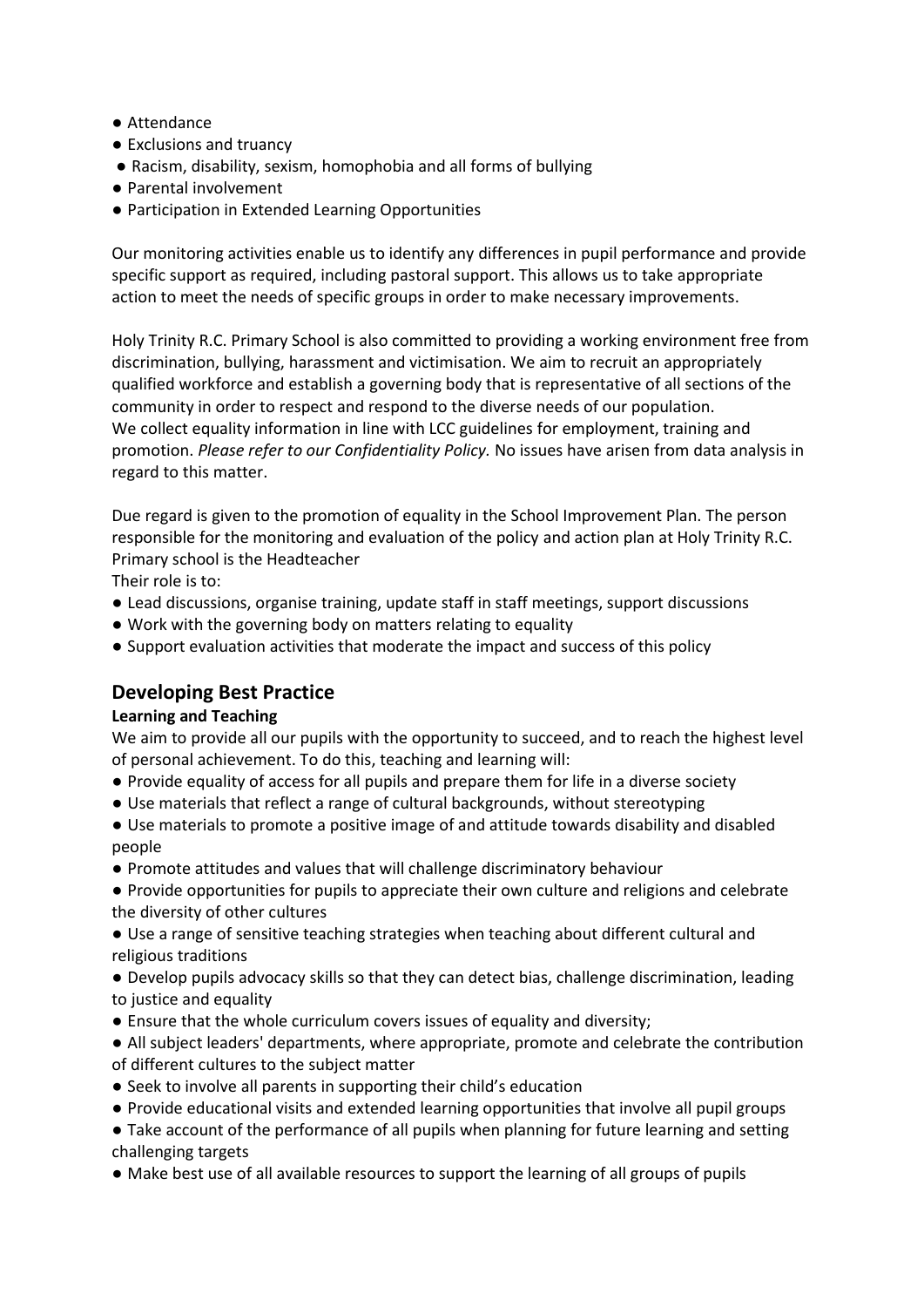- Attendance
- Exclusions and truancy
- Racism, disability, sexism, homophobia and all forms of bullying
- Parental involvement
- Participation in Extended Learning Opportunities

Our monitoring activities enable us to identify any differences in pupil performance and provide specific support as required, including pastoral support. This allows us to take appropriate action to meet the needs of specific groups in order to make necessary improvements.

Holy Trinity R.C. Primary School is also committed to providing a working environment free from discrimination, bullying, harassment and victimisation. We aim to recruit an appropriately qualified workforce and establish a governing body that is representative of all sections of the community in order to respect and respond to the diverse needs of our population. We collect equality information in line with LCC guidelines for employment, training and promotion. *Please refer to our Confidentiality Policy.* No issues have arisen from data analysis in regard to this matter.

Due regard is given to the promotion of equality in the School Improvement Plan. The person responsible for the monitoring and evaluation of the policy and action plan at Holy Trinity R.C. Primary school is the Headteacher

Their role is to:

- Lead discussions, organise training, update staff in staff meetings, support discussions
- Work with the governing body on matters relating to equality
- Support evaluation activities that moderate the impact and success of this policy

# **Developing Best Practice**

#### **Learning and Teaching**

We aim to provide all our pupils with the opportunity to succeed, and to reach the highest level of personal achievement. To do this, teaching and learning will:

- Provide equality of access for all pupils and prepare them for life in a diverse society
- Use materials that reflect a range of cultural backgrounds, without stereotyping
- Use materials to promote a positive image of and attitude towards disability and disabled people
- Promote attitudes and values that will challenge discriminatory behaviour
- Provide opportunities for pupils to appreciate their own culture and religions and celebrate the diversity of other cultures
- Use a range of sensitive teaching strategies when teaching about different cultural and religious traditions
- Develop pupils advocacy skills so that they can detect bias, challenge discrimination, leading to justice and equality
- Ensure that the whole curriculum covers issues of equality and diversity;
- All subject leaders' departments, where appropriate, promote and celebrate the contribution of different cultures to the subject matter
- Seek to involve all parents in supporting their child's education
- Provide educational visits and extended learning opportunities that involve all pupil groups
- Take account of the performance of all pupils when planning for future learning and setting challenging targets
- Make best use of all available resources to support the learning of all groups of pupils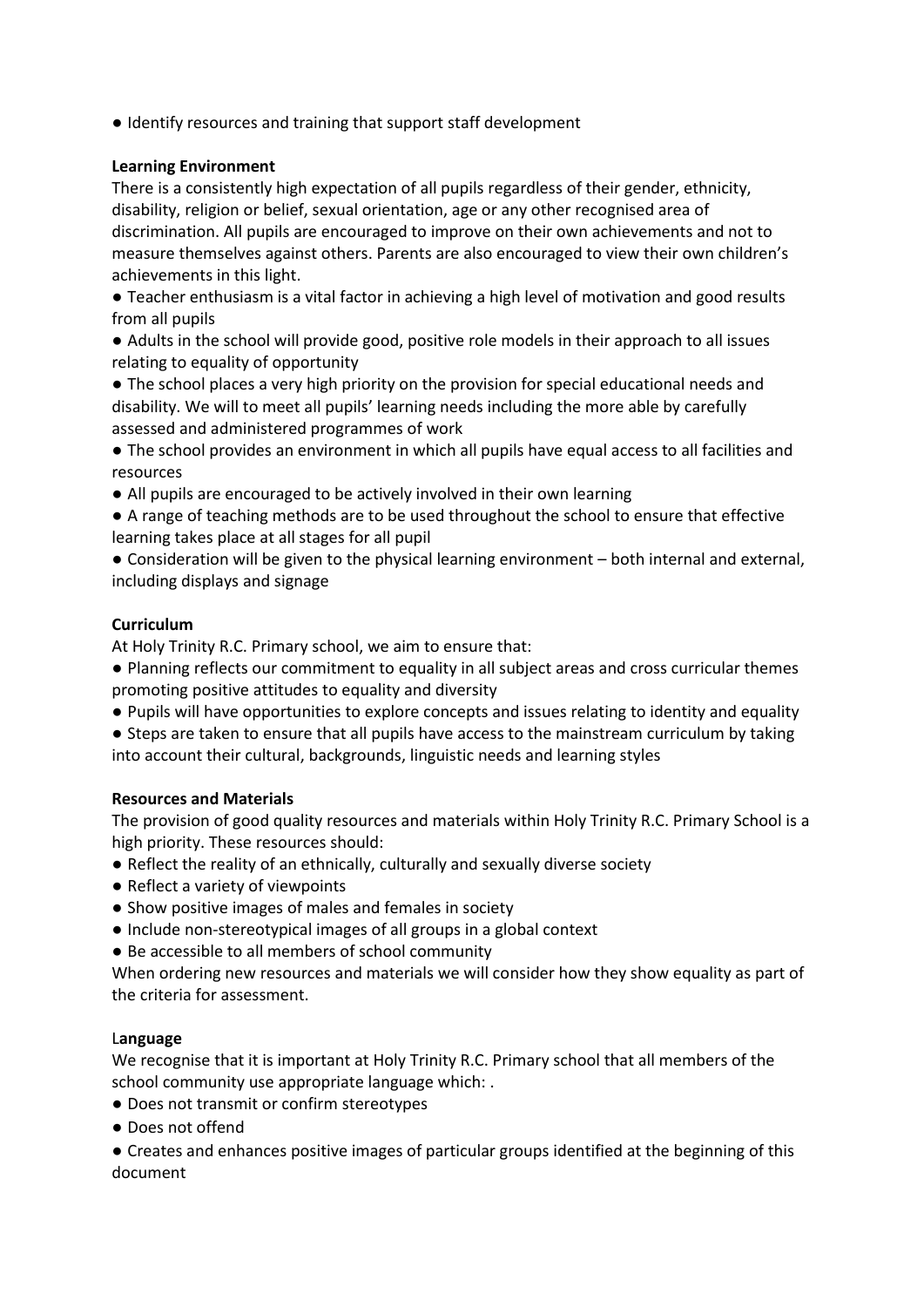● Identify resources and training that support staff development

#### **Learning Environment**

There is a consistently high expectation of all pupils regardless of their gender, ethnicity, disability, religion or belief, sexual orientation, age or any other recognised area of discrimination. All pupils are encouraged to improve on their own achievements and not to measure themselves against others. Parents are also encouraged to view their own children's achievements in this light.

● Teacher enthusiasm is a vital factor in achieving a high level of motivation and good results from all pupils

● Adults in the school will provide good, positive role models in their approach to all issues relating to equality of opportunity

● The school places a very high priority on the provision for special educational needs and disability. We will to meet all pupils' learning needs including the more able by carefully assessed and administered programmes of work

● The school provides an environment in which all pupils have equal access to all facilities and resources

- All pupils are encouraged to be actively involved in their own learning
- A range of teaching methods are to be used throughout the school to ensure that effective learning takes place at all stages for all pupil

● Consideration will be given to the physical learning environment – both internal and external, including displays and signage

## **Curriculum**

At Holy Trinity R.C. Primary school, we aim to ensure that:

- Planning reflects our commitment to equality in all subject areas and cross curricular themes promoting positive attitudes to equality and diversity
- Pupils will have opportunities to explore concepts and issues relating to identity and equality
- Steps are taken to ensure that all pupils have access to the mainstream curriculum by taking into account their cultural, backgrounds, linguistic needs and learning styles

#### **Resources and Materials**

The provision of good quality resources and materials within Holy Trinity R.C. Primary School is a high priority. These resources should:

- Reflect the reality of an ethnically, culturally and sexually diverse society
- Reflect a variety of viewpoints
- Show positive images of males and females in society
- Include non-stereotypical images of all groups in a global context
- Be accessible to all members of school community

When ordering new resources and materials we will consider how they show equality as part of the criteria for assessment.

#### L**anguage**

We recognise that it is important at Holy Trinity R.C. Primary school that all members of the school community use appropriate language which: .

● Does not transmit or confirm stereotypes

● Does not offend

● Creates and enhances positive images of particular groups identified at the beginning of this document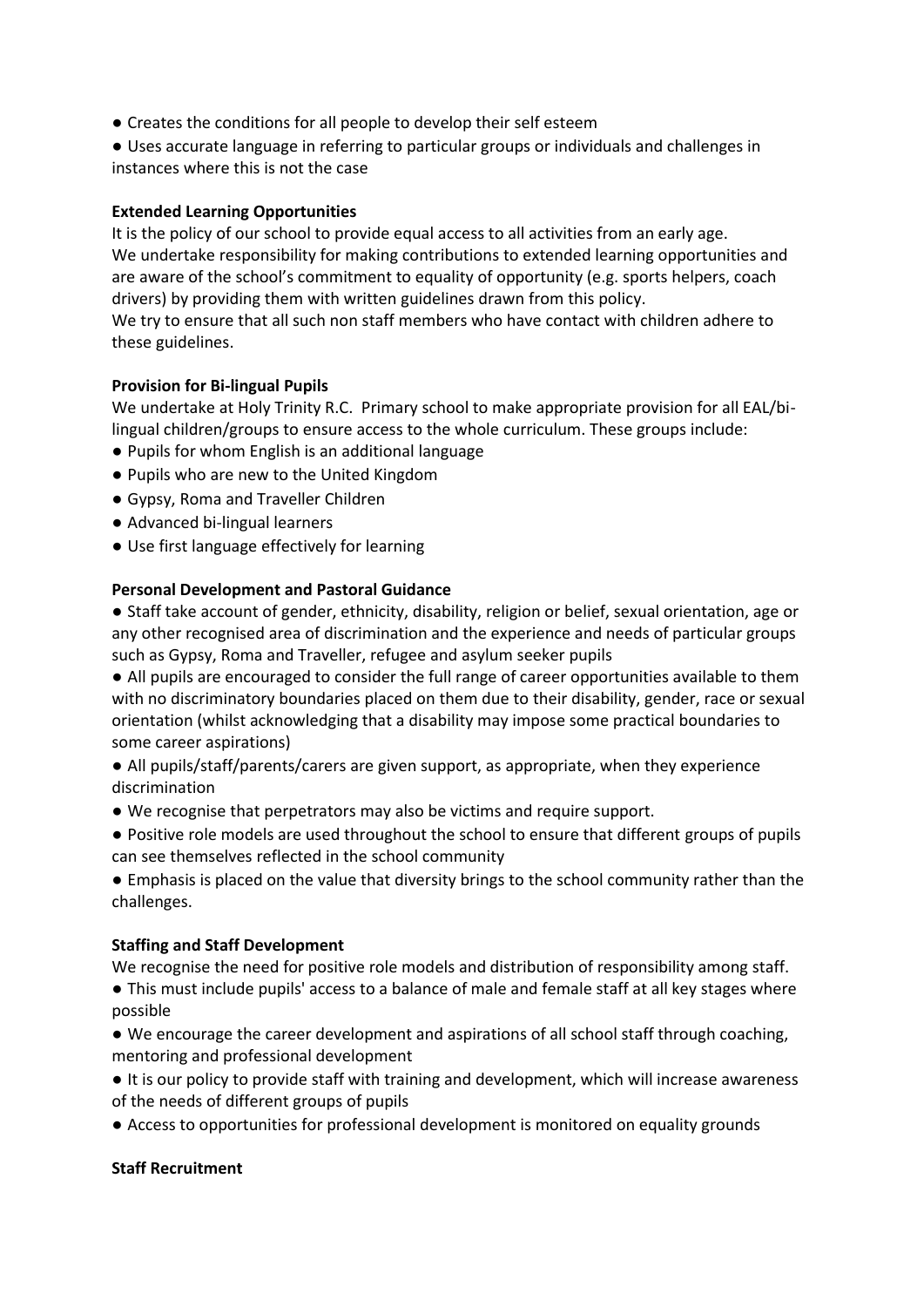● Creates the conditions for all people to develop their self esteem

● Uses accurate language in referring to particular groups or individuals and challenges in instances where this is not the case

#### **Extended Learning Opportunities**

It is the policy of our school to provide equal access to all activities from an early age. We undertake responsibility for making contributions to extended learning opportunities and are aware of the school's commitment to equality of opportunity (e.g. sports helpers, coach drivers) by providing them with written guidelines drawn from this policy.

We try to ensure that all such non staff members who have contact with children adhere to these guidelines.

#### **Provision for Bi-lingual Pupils**

We undertake at Holy Trinity R.C. Primary school to make appropriate provision for all EAL/bilingual children/groups to ensure access to the whole curriculum. These groups include:

- Pupils for whom English is an additional language
- Pupils who are new to the United Kingdom
- Gypsy, Roma and Traveller Children
- Advanced bi-lingual learners
- Use first language effectively for learning

#### **Personal Development and Pastoral Guidance**

● Staff take account of gender, ethnicity, disability, religion or belief, sexual orientation, age or any other recognised area of discrimination and the experience and needs of particular groups such as Gypsy, Roma and Traveller, refugee and asylum seeker pupils

● All pupils are encouraged to consider the full range of career opportunities available to them with no discriminatory boundaries placed on them due to their disability, gender, race or sexual orientation (whilst acknowledging that a disability may impose some practical boundaries to some career aspirations)

● All pupils/staff/parents/carers are given support, as appropriate, when they experience discrimination

- We recognise that perpetrators may also be victims and require support.
- Positive role models are used throughout the school to ensure that different groups of pupils can see themselves reflected in the school community

● Emphasis is placed on the value that diversity brings to the school community rather than the challenges.

#### **Staffing and Staff Development**

We recognise the need for positive role models and distribution of responsibility among staff.

● This must include pupils' access to a balance of male and female staff at all key stages where possible

● We encourage the career development and aspirations of all school staff through coaching, mentoring and professional development

● It is our policy to provide staff with training and development, which will increase awareness of the needs of different groups of pupils

● Access to opportunities for professional development is monitored on equality grounds

#### **Staff Recruitment**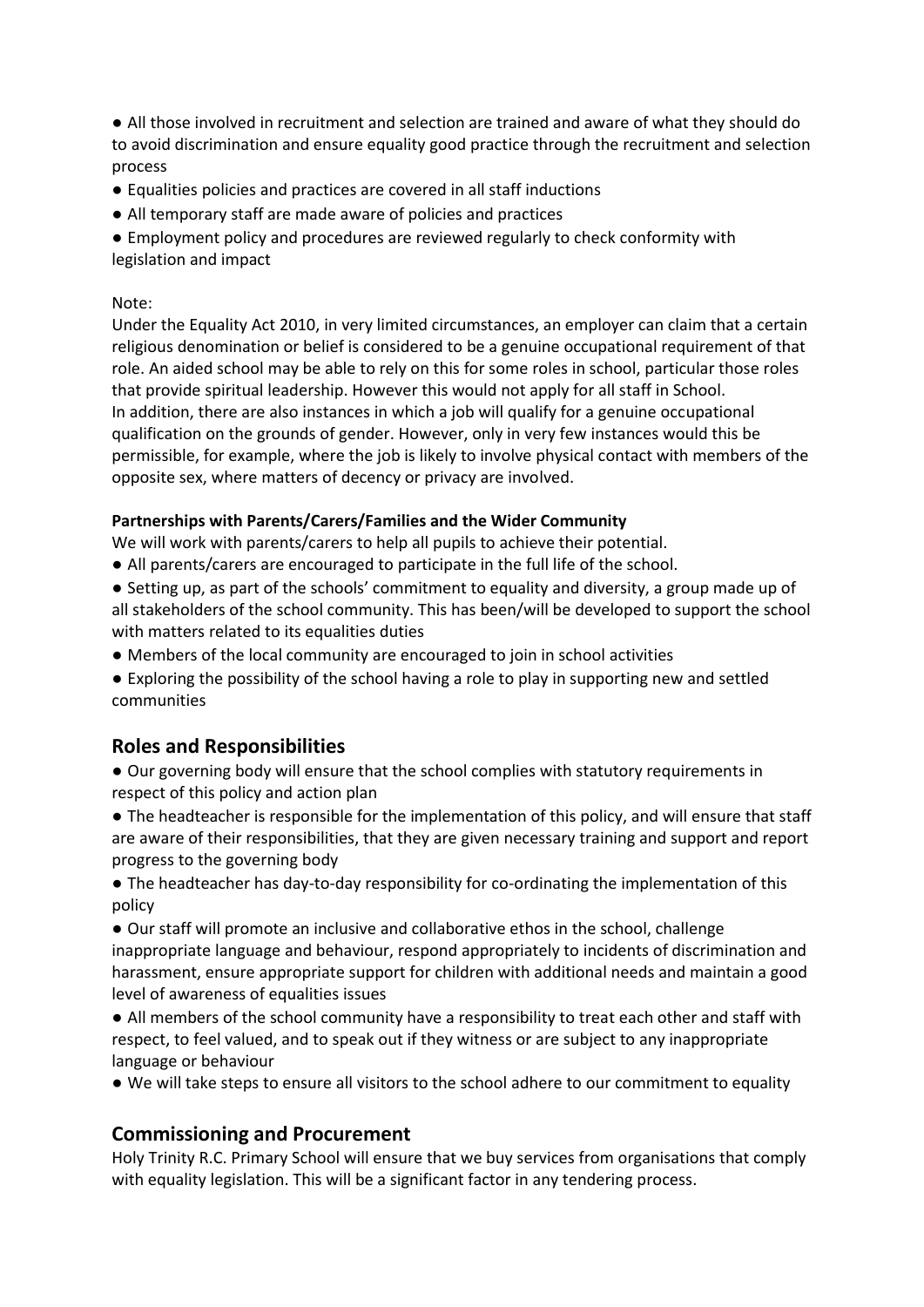● All those involved in recruitment and selection are trained and aware of what they should do to avoid discrimination and ensure equality good practice through the recruitment and selection process

- Equalities policies and practices are covered in all staff inductions
- All temporary staff are made aware of policies and practices

● Employment policy and procedures are reviewed regularly to check conformity with legislation and impact

#### Note:

Under the Equality Act 2010, in very limited circumstances, an employer can claim that a certain religious denomination or belief is considered to be a genuine occupational requirement of that role. An aided school may be able to rely on this for some roles in school, particular those roles that provide spiritual leadership. However this would not apply for all staff in School. In addition, there are also instances in which a job will qualify for a genuine occupational qualification on the grounds of gender. However, only in very few instances would this be permissible, for example, where the job is likely to involve physical contact with members of the opposite sex, where matters of decency or privacy are involved.

#### **Partnerships with Parents/Carers/Families and the Wider Community**

We will work with parents/carers to help all pupils to achieve their potential.

- All parents/carers are encouraged to participate in the full life of the school.
- Setting up, as part of the schools' commitment to equality and diversity, a group made up of all stakeholders of the school community. This has been/will be developed to support the school with matters related to its equalities duties
- Members of the local community are encouraged to join in school activities
- Exploring the possibility of the school having a role to play in supporting new and settled communities

## **Roles and Responsibilities**

● Our governing body will ensure that the school complies with statutory requirements in respect of this policy and action plan

● The headteacher is responsible for the implementation of this policy, and will ensure that staff are aware of their responsibilities, that they are given necessary training and support and report progress to the governing body

● The headteacher has day-to-day responsibility for co-ordinating the implementation of this policy

● Our staff will promote an inclusive and collaborative ethos in the school, challenge inappropriate language and behaviour, respond appropriately to incidents of discrimination and harassment, ensure appropriate support for children with additional needs and maintain a good level of awareness of equalities issues

● All members of the school community have a responsibility to treat each other and staff with respect, to feel valued, and to speak out if they witness or are subject to any inappropriate language or behaviour

● We will take steps to ensure all visitors to the school adhere to our commitment to equality

## **Commissioning and Procurement**

Holy Trinity R.C. Primary School will ensure that we buy services from organisations that comply with equality legislation. This will be a significant factor in any tendering process.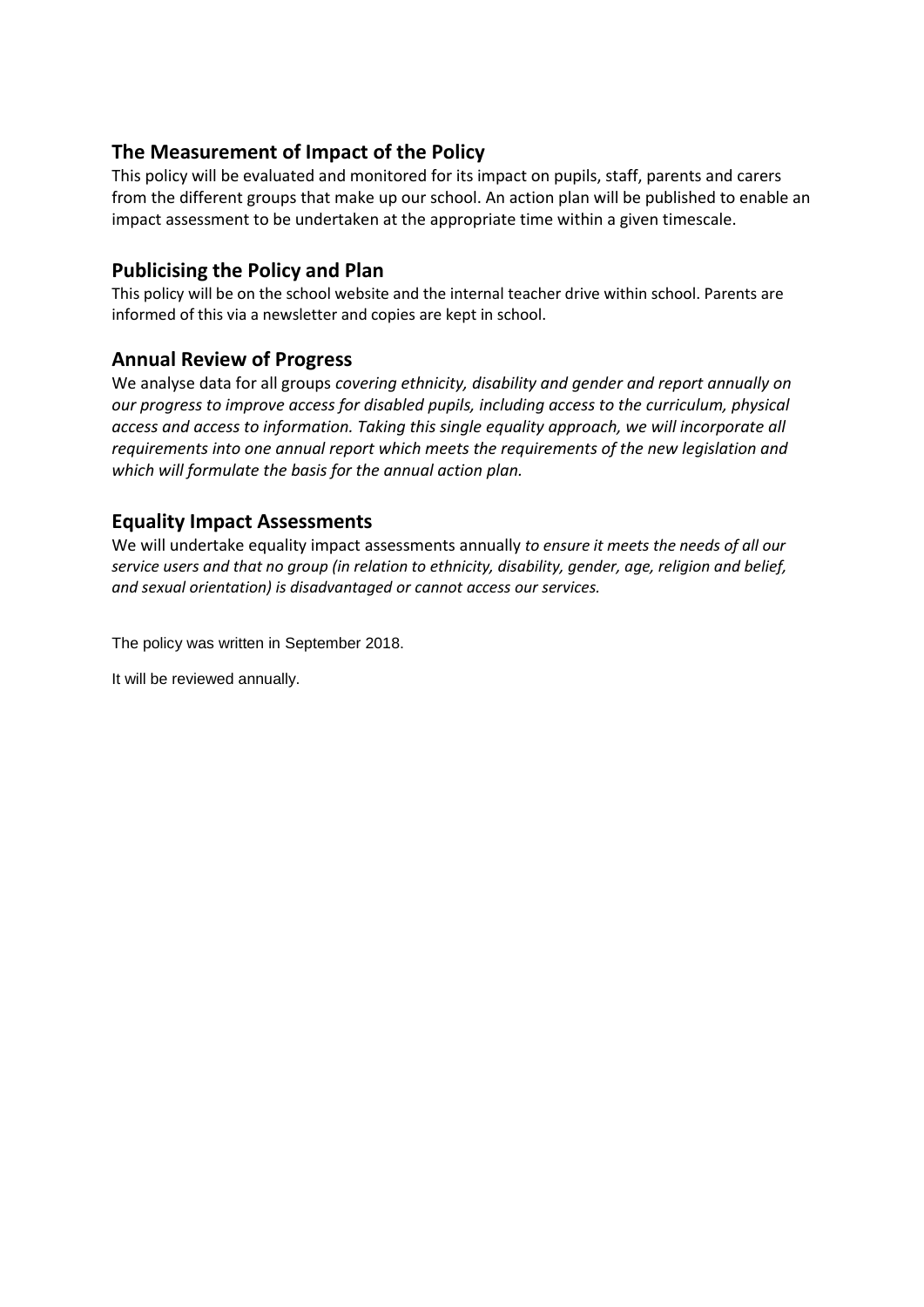# **The Measurement of Impact of the Policy**

This policy will be evaluated and monitored for its impact on pupils, staff, parents and carers from the different groups that make up our school. An action plan will be published to enable an impact assessment to be undertaken at the appropriate time within a given timescale.

# **Publicising the Policy and Plan**

This policy will be on the school website and the internal teacher drive within school. Parents are informed of this via a newsletter and copies are kept in school.

# **Annual Review of Progress**

We analyse data for all groups *covering ethnicity, disability and gender and report annually on our progress to improve access for disabled pupils, including access to the curriculum, physical access and access to information. Taking this single equality approach, we will incorporate all requirements into one annual report which meets the requirements of the new legislation and which will formulate the basis for the annual action plan.*

# **Equality Impact Assessments**

We will undertake equality impact assessments annually *to ensure it meets the needs of all our service users and that no group (in relation to ethnicity, disability, gender, age, religion and belief, and sexual orientation) is disadvantaged or cannot access our services.*

The policy was written in September 2018.

It will be reviewed annually.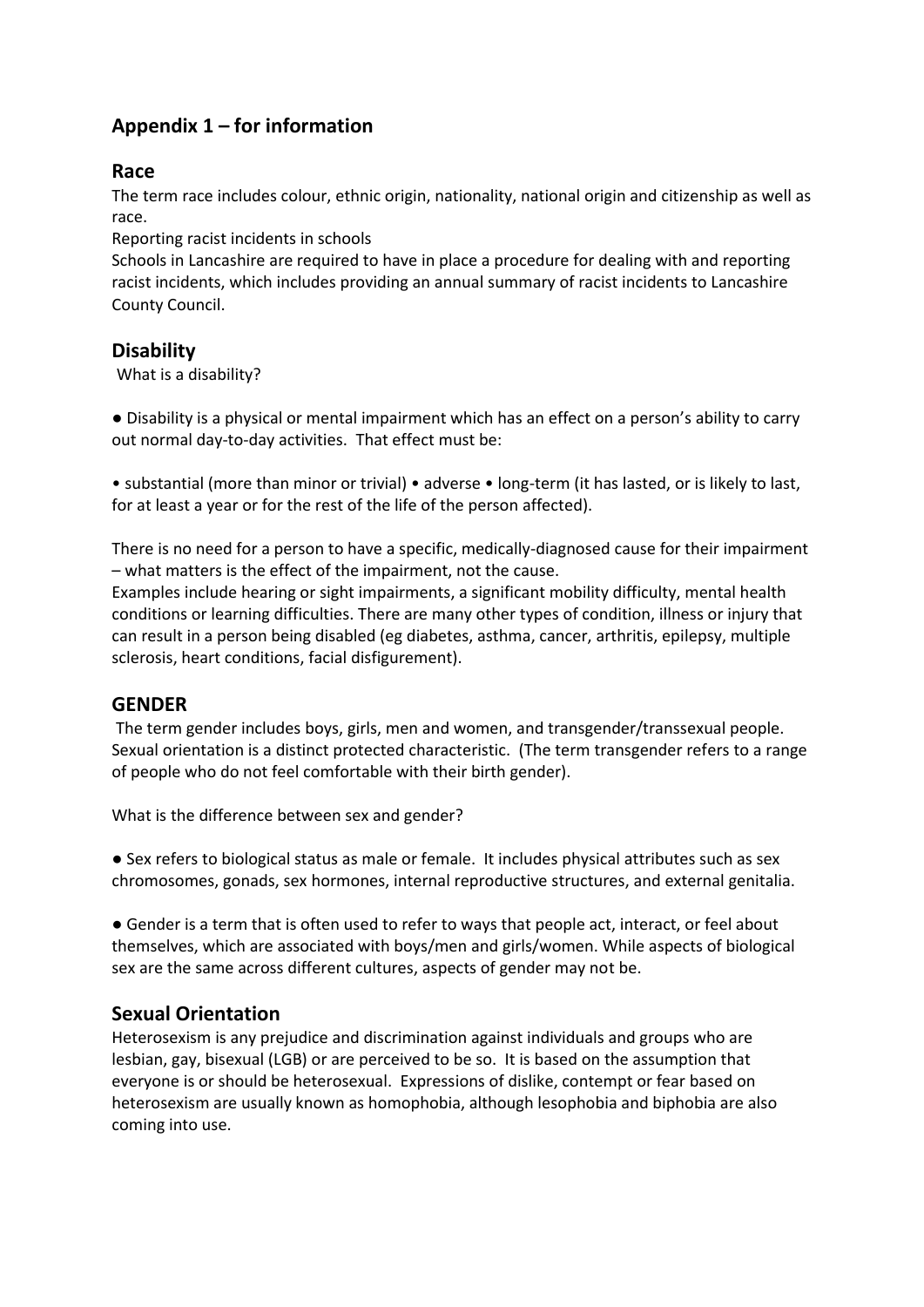# **Appendix 1 – for information**

# **Race**

The term race includes colour, ethnic origin, nationality, national origin and citizenship as well as race.

Reporting racist incidents in schools

Schools in Lancashire are required to have in place a procedure for dealing with and reporting racist incidents, which includes providing an annual summary of racist incidents to Lancashire County Council.

# **Disability**

What is a disability?

● Disability is a physical or mental impairment which has an effect on a person's ability to carry out normal day-to-day activities. That effect must be:

• substantial (more than minor or trivial) • adverse • long-term (it has lasted, or is likely to last, for at least a year or for the rest of the life of the person affected).

There is no need for a person to have a specific, medically-diagnosed cause for their impairment – what matters is the effect of the impairment, not the cause.

Examples include hearing or sight impairments, a significant mobility difficulty, mental health conditions or learning difficulties. There are many other types of condition, illness or injury that can result in a person being disabled (eg diabetes, asthma, cancer, arthritis, epilepsy, multiple sclerosis, heart conditions, facial disfigurement).

# **GENDER**

The term gender includes boys, girls, men and women, and transgender/transsexual people. Sexual orientation is a distinct protected characteristic. (The term transgender refers to a range of people who do not feel comfortable with their birth gender).

What is the difference between sex and gender?

● Sex refers to biological status as male or female. It includes physical attributes such as sex chromosomes, gonads, sex hormones, internal reproductive structures, and external genitalia.

● Gender is a term that is often used to refer to ways that people act, interact, or feel about themselves, which are associated with boys/men and girls/women. While aspects of biological sex are the same across different cultures, aspects of gender may not be.

# **Sexual Orientation**

Heterosexism is any prejudice and discrimination against individuals and groups who are lesbian, gay, bisexual (LGB) or are perceived to be so. It is based on the assumption that everyone is or should be heterosexual. Expressions of dislike, contempt or fear based on heterosexism are usually known as homophobia, although lesophobia and biphobia are also coming into use.